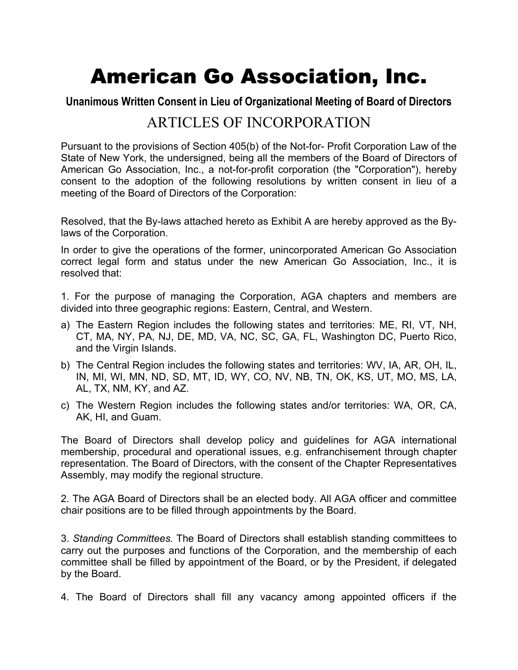# American Go Association, Inc.

# **Unanimous Written Consent in Lieu of Organizational Meeting of Board of Directors**

# ARTICLES OF INCORPORATION

Pursuant to the provisions of Section 405(b) of the Not-for- Profit Corporation Law of the State of New York, the undersigned, being all the members of the Board of Directors of American Go Association, Inc., a not-for-profit corporation (the "Corporation"), hereby consent to the adoption of the following resolutions by written consent in lieu of a meeting of the Board of Directors of the Corporation:

Resolved, that the By-laws attached hereto as Exhibit A are hereby approved as the Bylaws of the Corporation.

In order to give the operations of the former, unincorporated American Go Association correct legal form and status under the new American Go Association, Inc., it is resolved that:

1. For the purpose of managing the Corporation, AGA chapters and members are divided into three geographic regions: Eastern, Central, and Western.

- a) The Eastern Region includes the following states and territories: ME, RI, VT, NH, CT, MA, NY, PA, NJ, DE, MD, VA, NC, SC, GA, FL, Washington DC, Puerto Rico, and the Virgin Islands.
- b) The Central Region includes the following states and territories: WV, IA, AR, OH, IL, IN, MI, WI, MN, ND, SD, MT, ID, WY, CO, NV, NB, TN, OK, KS, UT, MO, MS, LA, AL, TX, NM, KY, and AZ.
- c) The Western Region includes the following states and/or territories: WA, OR, CA, AK, HI, and Guam.

The Board of Directors shall develop policy and guidelines for AGA international membership, procedural and operational issues, e.g. enfranchisement through chapter representation. The Board of Directors, with the consent of the Chapter Representatives Assembly, may modify the regional structure.

2. The AGA Board of Directors shall be an elected body. All AGA officer and committee chair positions are to be filled through appointments by the Board.

3. *Standing Committees.* The Board of Directors shall establish standing committees to carry out the purposes and functions of the Corporation, and the membership of each committee shall be filled by appointment of the Board, or by the President, if delegated by the Board.

4. The Board of Directors shall fill any vacancy among appointed officers if the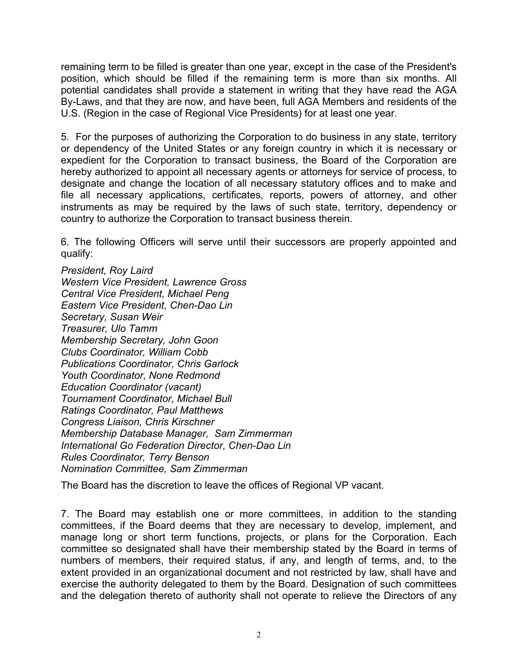remaining term to be filled is greater than one year, except in the case of the President's position, which should be filled if the remaining term is more than six months. All potential candidates shall provide a statement in writing that they have read the AGA By-Laws, and that they are now, and have been, full AGA Members and residents of the U.S. (Region in the case of Regional Vice Presidents) for at least one year.

5. For the purposes of authorizing the Corporation to do business in any state, territory or dependency of the United States or any foreign country in which it is necessary or expedient for the Corporation to transact business, the Board of the Corporation are hereby authorized to appoint all necessary agents or attorneys for service of process, to designate and change the location of all necessary statutory offices and to make and file all necessary applications, certificates, reports, powers of attorney, and other instruments as may be required by the laws of such state, territory, dependency or country to authorize the Corporation to transact business therein.

6. The following Officers will serve until their successors are properly appointed and qualify:

*President, Roy Laird Western Vice President, Lawrence Gross Central Vice President, Michael Peng Eastern Vice President, Chen-Dao Lin Secretary, Susan Weir Treasurer, Ulo Tamm Membership Secretary, John Goon Clubs Coordinator, William Cobb Publications Coordinator, Chris Garlock Youth Coordinator, None Redmond Education Coordinator (vacant) Tournament Coordinator, Michael Bull Ratings Coordinator, Paul Matthews Congress Liaison, Chris Kirschner Membership Database Manager, Sam Zimmerman International Go Federation Director, Chen-Dao Lin Rules Coordinator, Terry Benson Nomination Committee, Sam Zimmerman* 

The Board has the discretion to leave the offices of Regional VP vacant.

7. The Board may establish one or more committees, in addition to the standing committees, if the Board deems that they are necessary to develop, implement, and manage long or short term functions, projects, or plans for the Corporation. Each committee so designated shall have their membership stated by the Board in terms of numbers of members, their required status, if any, and length of terms, and, to the extent provided in an organizational document and not restricted by law, shall have and exercise the authority delegated to them by the Board. Designation of such committees and the delegation thereto of authority shall not operate to relieve the Directors of any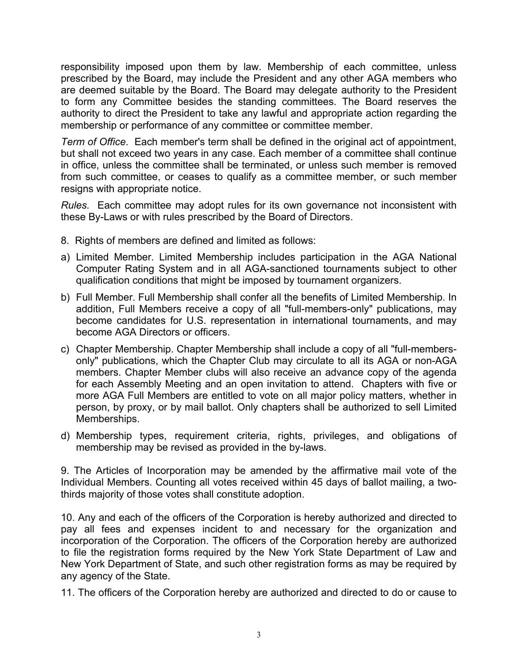responsibility imposed upon them by law. Membership of each committee, unless prescribed by the Board, may include the President and any other AGA members who are deemed suitable by the Board. The Board may delegate authority to the President to form any Committee besides the standing committees. The Board reserves the authority to direct the President to take any lawful and appropriate action regarding the membership or performance of any committee or committee member.

*Term of Office*. Each member's term shall be defined in the original act of appointment, but shall not exceed two years in any case. Each member of a committee shall continue in office, unless the committee shall be terminated, or unless such member is removed from such committee, or ceases to qualify as a committee member, or such member resigns with appropriate notice.

*Rules.* Each committee may adopt rules for its own governance not inconsistent with these By-Laws or with rules prescribed by the Board of Directors.

- 8. Rights of members are defined and limited as follows:
- a) Limited Member. Limited Membership includes participation in the AGA National Computer Rating System and in all AGA-sanctioned tournaments subject to other qualification conditions that might be imposed by tournament organizers.
- b) Full Member. Full Membership shall confer all the benefits of Limited Membership. In addition, Full Members receive a copy of all "full-members-only" publications, may become candidates for U.S. representation in international tournaments, and may become AGA Directors or officers.
- c) Chapter Membership. Chapter Membership shall include a copy of all "full-membersonly" publications, which the Chapter Club may circulate to all its AGA or non-AGA members. Chapter Member clubs will also receive an advance copy of the agenda for each Assembly Meeting and an open invitation to attend. Chapters with five or more AGA Full Members are entitled to vote on all major policy matters, whether in person, by proxy, or by mail ballot. Only chapters shall be authorized to sell Limited Memberships.
- d) Membership types, requirement criteria, rights, privileges, and obligations of membership may be revised as provided in the by-laws.

9. The Articles of Incorporation may be amended by the affirmative mail vote of the Individual Members. Counting all votes received within 45 days of ballot mailing, a twothirds majority of those votes shall constitute adoption.

10. Any and each of the officers of the Corporation is hereby authorized and directed to pay all fees and expenses incident to and necessary for the organization and incorporation of the Corporation. The officers of the Corporation hereby are authorized to file the registration forms required by the New York State Department of Law and New York Department of State, and such other registration forms as may be required by any agency of the State.

11. The officers of the Corporation hereby are authorized and directed to do or cause to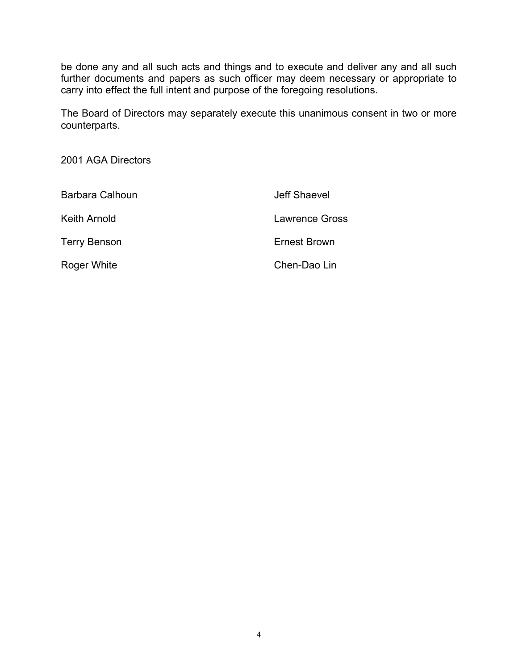be done any and all such acts and things and to execute and deliver any and all such further documents and papers as such officer may deem necessary or appropriate to carry into effect the full intent and purpose of the foregoing resolutions.

The Board of Directors may separately execute this unanimous consent in two or more counterparts.

2001 AGA Directors

| Barbara Calhoun     | Jeff Shaevel   |
|---------------------|----------------|
| Keith Arnold        | Lawrence Gross |
| <b>Terry Benson</b> | Ernest Brown   |
| Roger White         | Chen-Dao Lin   |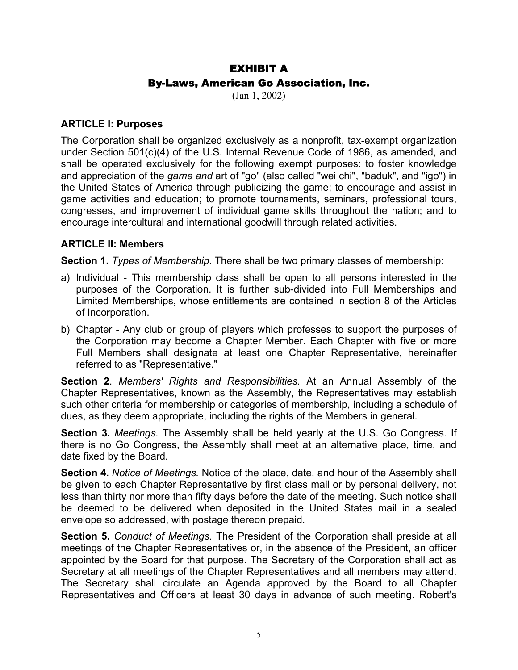# EXHIBIT A By-Laws, American Go Association, Inc.

(Jan 1, 2002)

#### **ARTICLE I: Purposes**

The Corporation shall be organized exclusively as a nonprofit, tax-exempt organization under Section 501(c)(4) of the U.S. Internal Revenue Code of 1986, as amended, and shall be operated exclusively for the following exempt purposes: to foster knowledge and appreciation of the *game and* art of "go" (also called "wei chi", "baduk", and "igo") in the United States of America through publicizing the game; to encourage and assist in game activities and education; to promote tournaments, seminars, professional tours, congresses, and improvement of individual game skills throughout the nation; and to encourage intercultural and international goodwill through related activities.

# **ARTICLE II: Members**

**Section 1.** *Types of Membership*. There shall be two primary classes of membership:

- a) Individual This membership class shall be open to all persons interested in the purposes of the Corporation. It is further sub-divided into Full Memberships and Limited Memberships, whose entitlements are contained in section 8 of the Articles of Incorporation.
- b) Chapter Any club or group of players which professes to support the purposes of the Corporation may become a Chapter Member. Each Chapter with five or more Full Members shall designate at least one Chapter Representative, hereinafter referred to as "Representative."

**Section 2**. *Members' Rights and Responsibilities.* At an Annual Assembly of the Chapter Representatives, known as the Assembly, the Representatives may establish such other criteria for membership or categories of membership, including a schedule of dues, as they deem appropriate, including the rights of the Members in general.

**Section 3.** *Meetings.* The Assembly shall be held yearly at the U.S. Go Congress. If there is no Go Congress, the Assembly shall meet at an alternative place, time, and date fixed by the Board.

**Section 4.** *Notice of Meetings.* Notice of the place, date, and hour of the Assembly shall be given to each Chapter Representative by first class mail or by personal delivery, not less than thirty nor more than fifty days before the date of the meeting. Such notice shall be deemed to be delivered when deposited in the United States mail in a sealed envelope so addressed, with postage thereon prepaid.

**Section 5.** *Conduct of Meetings.* The President of the Corporation shall preside at all meetings of the Chapter Representatives or, in the absence of the President, an officer appointed by the Board for that purpose. The Secretary of the Corporation shall act as Secretary at all meetings of the Chapter Representatives and all members may attend. The Secretary shall circulate an Agenda approved by the Board to all Chapter Representatives and Officers at least 30 days in advance of such meeting. Robert's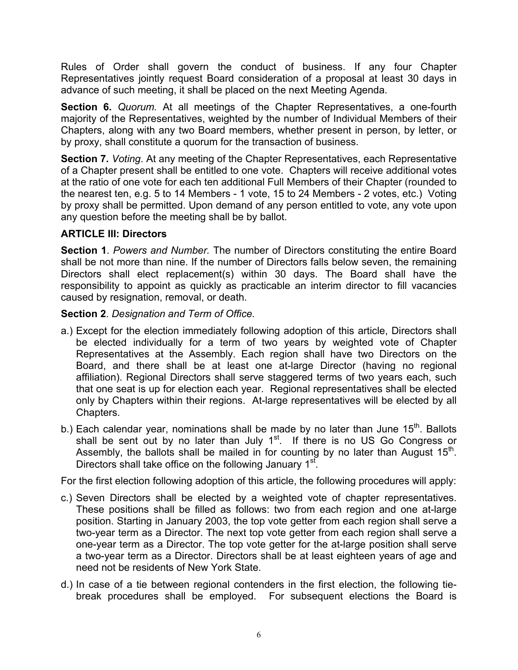Rules of Order shall govern the conduct of business. If any four Chapter Representatives jointly request Board consideration of a proposal at least 30 days in advance of such meeting, it shall be placed on the next Meeting Agenda.

**Section 6.** *Quorum.* At all meetings of the Chapter Representatives, a one-fourth majority of the Representatives, weighted by the number of Individual Members of their Chapters, along with any two Board members, whether present in person, by letter, or by proxy, shall constitute a quorum for the transaction of business.

**Section 7.** *Voting*. At any meeting of the Chapter Representatives, each Representative of a Chapter present shall be entitled to one vote. Chapters will receive additional votes at the ratio of one vote for each ten additional Full Members of their Chapter (rounded to the nearest ten, e.g. 5 to 14 Members - 1 vote, 15 to 24 Members - 2 votes, etc.) Voting by proxy shall be permitted. Upon demand of any person entitled to vote, any vote upon any question before the meeting shall be by ballot.

# **ARTICLE III: Directors**

**Section 1**. *Powers and Number.* The number of Directors constituting the entire Board shall be not more than nine. If the number of Directors falls below seven, the remaining Directors shall elect replacement(s) within 30 days. The Board shall have the responsibility to appoint as quickly as practicable an interim director to fill vacancies caused by resignation, removal, or death.

**Section 2**. *Designation and Term of Office.* 

- a.) Except for the election immediately following adoption of this article, Directors shall be elected individually for a term of two years by weighted vote of Chapter Representatives at the Assembly. Each region shall have two Directors on the Board, and there shall be at least one at-large Director (having no regional affiliation). Regional Directors shall serve staggered terms of two years each, such that one seat is up for election each year. Regional representatives shall be elected only by Chapters within their regions. At-large representatives will be elected by all Chapters.
- b.) Each calendar year, nominations shall be made by no later than June 15<sup>th</sup>. Ballots shall be sent out by no later than July  $1<sup>st</sup>$ . If there is no US Go Congress or Assembly, the ballots shall be mailed in for counting by no later than August  $15<sup>th</sup>$ . Directors shall take office on the following January 1<sup>st</sup>.

For the first election following adoption of this article, the following procedures will apply:

- c.) Seven Directors shall be elected by a weighted vote of chapter representatives. These positions shall be filled as follows: two from each region and one at-large position. Starting in January 2003, the top vote getter from each region shall serve a two-year term as a Director. The next top vote getter from each region shall serve a one-year term as a Director. The top vote getter for the at-large position shall serve a two-year term as a Director. Directors shall be at least eighteen years of age and need not be residents of New York State.
- d.) In case of a tie between regional contenders in the first election, the following tiebreak procedures shall be employed. For subsequent elections the Board is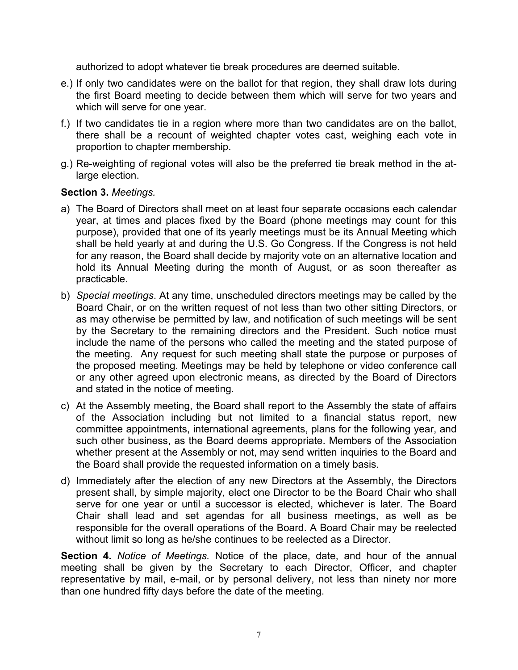authorized to adopt whatever tie break procedures are deemed suitable.

- e.) If only two candidates were on the ballot for that region, they shall draw lots during the first Board meeting to decide between them which will serve for two years and which will serve for one year.
- f.) If two candidates tie in a region where more than two candidates are on the ballot, there shall be a recount of weighted chapter votes cast, weighing each vote in proportion to chapter membership.
- g.) Re-weighting of regional votes will also be the preferred tie break method in the atlarge election.

# **Section 3.** *Meetings.*

- a) The Board of Directors shall meet on at least four separate occasions each calendar year, at times and places fixed by the Board (phone meetings may count for this purpose), provided that one of its yearly meetings must be its Annual Meeting which shall be held yearly at and during the U.S. Go Congress. If the Congress is not held for any reason, the Board shall decide by majority vote on an alternative location and hold its Annual Meeting during the month of August, or as soon thereafter as practicable.
- b) *Special meetings*. At any time, unscheduled directors meetings may be called by the Board Chair, or on the written request of not less than two other sitting Directors, or as may otherwise be permitted by law, and notification of such meetings will be sent by the Secretary to the remaining directors and the President. Such notice must include the name of the persons who called the meeting and the stated purpose of the meeting. Any request for such meeting shall state the purpose or purposes of the proposed meeting. Meetings may be held by telephone or video conference call or any other agreed upon electronic means, as directed by the Board of Directors and stated in the notice of meeting.
- c) At the Assembly meeting, the Board shall report to the Assembly the state of affairs of the Association including but not limited to a financial status report, new committee appointments, international agreements, plans for the following year, and such other business, as the Board deems appropriate. Members of the Association whether present at the Assembly or not, may send written inquiries to the Board and the Board shall provide the requested information on a timely basis.
- d) Immediately after the election of any new Directors at the Assembly, the Directors present shall, by simple majority, elect one Director to be the Board Chair who shall serve for one year or until a successor is elected, whichever is later. The Board Chair shall lead and set agendas for all business meetings, as well as be responsible for the overall operations of the Board. A Board Chair may be reelected without limit so long as he/she continues to be reelected as a Director.

**Section 4.** *Notice of Meetings.* Notice of the place, date, and hour of the annual meeting shall be given by the Secretary to each Director, Officer, and chapter representative by mail, e-mail, or by personal delivery, not less than ninety nor more than one hundred fifty days before the date of the meeting.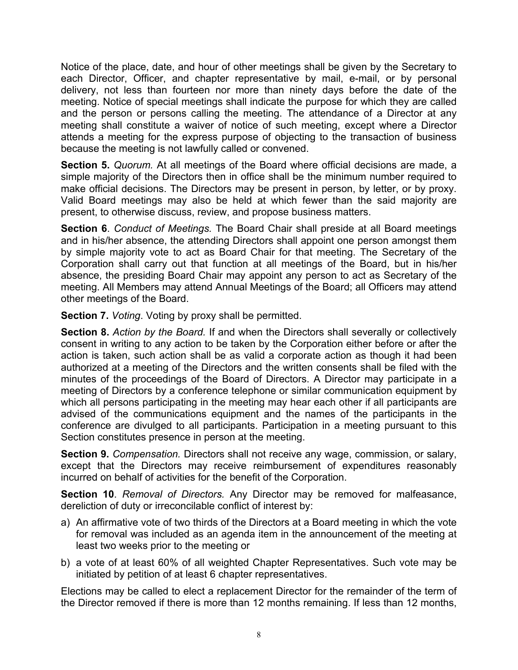Notice of the place, date, and hour of other meetings shall be given by the Secretary to each Director, Officer, and chapter representative by mail, e-mail, or by personal delivery, not less than fourteen nor more than ninety days before the date of the meeting. Notice of special meetings shall indicate the purpose for which they are called and the person or persons calling the meeting. The attendance of a Director at any meeting shall constitute a waiver of notice of such meeting, except where a Director attends a meeting for the express purpose of objecting to the transaction of business because the meeting is not lawfully called or convened.

**Section 5.** *Quorum.* At all meetings of the Board where official decisions are made, a simple majority of the Directors then in office shall be the minimum number required to make official decisions. The Directors may be present in person, by letter, or by proxy. Valid Board meetings may also be held at which fewer than the said majority are present, to otherwise discuss, review, and propose business matters.

**Section 6**. *Conduct of Meetings.* The Board Chair shall preside at all Board meetings and in his/her absence, the attending Directors shall appoint one person amongst them by simple majority vote to act as Board Chair for that meeting. The Secretary of the Corporation shall carry out that function at all meetings of the Board, but in his/her absence, the presiding Board Chair may appoint any person to act as Secretary of the meeting. All Members may attend Annual Meetings of the Board; all Officers may attend other meetings of the Board.

**Section 7.** *Voting*. Voting by proxy shall be permitted.

**Section 8.** *Action by the Board.* If and when the Directors shall severally or collectively consent in writing to any action to be taken by the Corporation either before or after the action is taken, such action shall be as valid a corporate action as though it had been authorized at a meeting of the Directors and the written consents shall be filed with the minutes of the proceedings of the Board of Directors. A Director may participate in a meeting of Directors by a conference telephone or similar communication equipment by which all persons participating in the meeting may hear each other if all participants are advised of the communications equipment and the names of the participants in the conference are divulged to all participants. Participation in a meeting pursuant to this Section constitutes presence in person at the meeting.

**Section 9.** *Compensation.* Directors shall not receive any wage, commission, or salary, except that the Directors may receive reimbursement of expenditures reasonably incurred on behalf of activities for the benefit of the Corporation.

**Section 10**. *Removal of Directors.* Any Director may be removed for malfeasance, dereliction of duty or irreconcilable conflict of interest by:

- a) An affirmative vote of two thirds of the Directors at a Board meeting in which the vote for removal was included as an agenda item in the announcement of the meeting at least two weeks prior to the meeting or
- b) a vote of at least 60% of all weighted Chapter Representatives. Such vote may be initiated by petition of at least 6 chapter representatives.

Elections may be called to elect a replacement Director for the remainder of the term of the Director removed if there is more than 12 months remaining. If less than 12 months,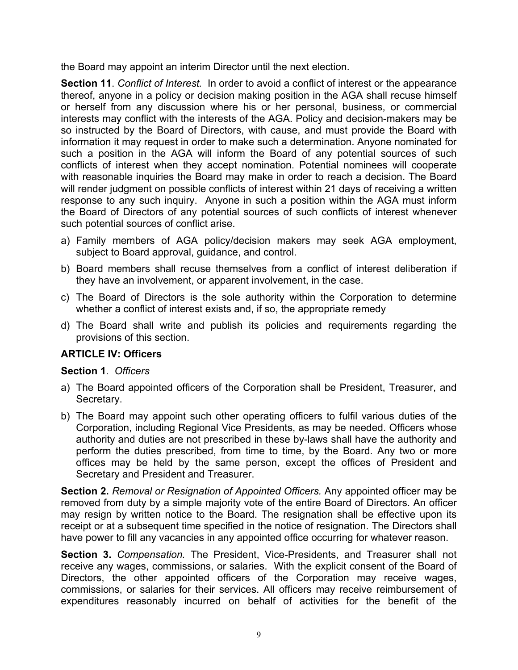the Board may appoint an interim Director until the next election.

**Section 11**. *Conflict of Interest.* In order to avoid a conflict of interest or the appearance thereof, anyone in a policy or decision making position in the AGA shall recuse himself or herself from any discussion where his or her personal, business, or commercial interests may conflict with the interests of the AGA. Policy and decision-makers may be so instructed by the Board of Directors, with cause, and must provide the Board with information it may request in order to make such a determination. Anyone nominated for such a position in the AGA will inform the Board of any potential sources of such conflicts of interest when they accept nomination. Potential nominees will cooperate with reasonable inquiries the Board may make in order to reach a decision. The Board will render judgment on possible conflicts of interest within 21 days of receiving a written response to any such inquiry. Anyone in such a position within the AGA must inform the Board of Directors of any potential sources of such conflicts of interest whenever such potential sources of conflict arise.

- a) Family members of AGA policy/decision makers may seek AGA employment, subject to Board approval, guidance, and control.
- b) Board members shall recuse themselves from a conflict of interest deliberation if they have an involvement, or apparent involvement, in the case.
- c) The Board of Directors is the sole authority within the Corporation to determine whether a conflict of interest exists and, if so, the appropriate remedy
- d) The Board shall write and publish its policies and requirements regarding the provisions of this section.

# **ARTICLE IV: Officers**

#### **Section 1**. *Officers*

- a) The Board appointed officers of the Corporation shall be President, Treasurer, and Secretary.
- b) The Board may appoint such other operating officers to fulfil various duties of the Corporation, including Regional Vice Presidents, as may be needed. Officers whose authority and duties are not prescribed in these by-laws shall have the authority and perform the duties prescribed, from time to time, by the Board. Any two or more offices may be held by the same person, except the offices of President and Secretary and President and Treasurer.

**Section 2.** *Removal or Resignation of Appointed Officers.* Any appointed officer may be removed from duty by a simple majority vote of the entire Board of Directors. An officer may resign by written notice to the Board. The resignation shall be effective upon its receipt or at a subsequent time specified in the notice of resignation. The Directors shall have power to fill any vacancies in any appointed office occurring for whatever reason.

**Section 3.** *Compensation.* The President, Vice-Presidents, and Treasurer shall not receive any wages, commissions, or salaries. With the explicit consent of the Board of Directors, the other appointed officers of the Corporation may receive wages, commissions, or salaries for their services. All officers may receive reimbursement of expenditures reasonably incurred on behalf of activities for the benefit of the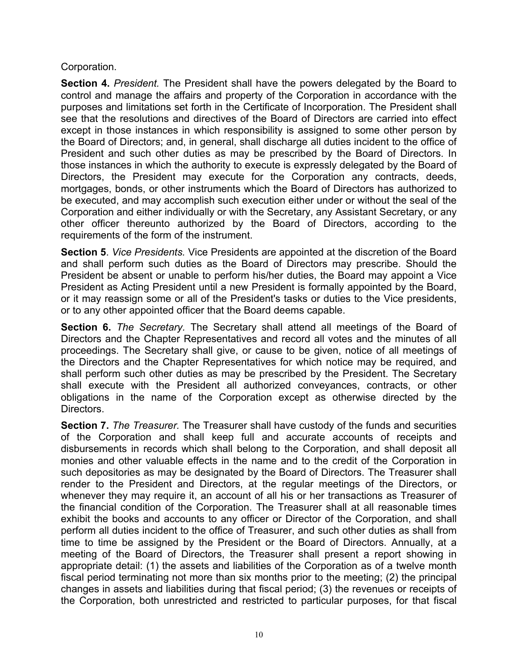Corporation.

**Section 4.** *President.* The President shall have the powers delegated by the Board to control and manage the affairs and property of the Corporation in accordance with the purposes and limitations set forth in the Certificate of Incorporation. The President shall see that the resolutions and directives of the Board of Directors are carried into effect except in those instances in which responsibility is assigned to some other person by the Board of Directors; and, in general, shall discharge all duties incident to the office of President and such other duties as may be prescribed by the Board of Directors. In those instances in which the authority to execute is expressly delegated by the Board of Directors, the President may execute for the Corporation any contracts, deeds, mortgages, bonds, or other instruments which the Board of Directors has authorized to be executed, and may accomplish such execution either under or without the seal of the Corporation and either individually or with the Secretary, any Assistant Secretary, or any other officer thereunto authorized by the Board of Directors, according to the requirements of the form of the instrument.

**Section 5**. *Vice Presidents.* Vice Presidents are appointed at the discretion of the Board and shall perform such duties as the Board of Directors may prescribe. Should the President be absent or unable to perform his/her duties, the Board may appoint a Vice President as Acting President until a new President is formally appointed by the Board, or it may reassign some or all of the President's tasks or duties to the Vice presidents, or to any other appointed officer that the Board deems capable.

**Section 6.** *The Secretary.* The Secretary shall attend all meetings of the Board of Directors and the Chapter Representatives and record all votes and the minutes of all proceedings. The Secretary shall give, or cause to be given, notice of all meetings of the Directors and the Chapter Representatives for which notice may be required, and shall perform such other duties as may be prescribed by the President. The Secretary shall execute with the President all authorized conveyances, contracts, or other obligations in the name of the Corporation except as otherwise directed by the Directors.

**Section 7.** *The Treasurer.* The Treasurer shall have custody of the funds and securities of the Corporation and shall keep full and accurate accounts of receipts and disbursements in records which shall belong to the Corporation, and shall deposit all monies and other valuable effects in the name and to the credit of the Corporation in such depositories as may be designated by the Board of Directors. The Treasurer shall render to the President and Directors, at the regular meetings of the Directors, or whenever they may require it, an account of all his or her transactions as Treasurer of the financial condition of the Corporation. The Treasurer shall at all reasonable times exhibit the books and accounts to any officer or Director of the Corporation, and shall perform all duties incident to the office of Treasurer, and such other duties as shall from time to time be assigned by the President or the Board of Directors. Annually, at a meeting of the Board of Directors, the Treasurer shall present a report showing in appropriate detail: (1) the assets and liabilities of the Corporation as of a twelve month fiscal period terminating not more than six months prior to the meeting; (2) the principal changes in assets and liabilities during that fiscal period; (3) the revenues or receipts of the Corporation, both unrestricted and restricted to particular purposes, for that fiscal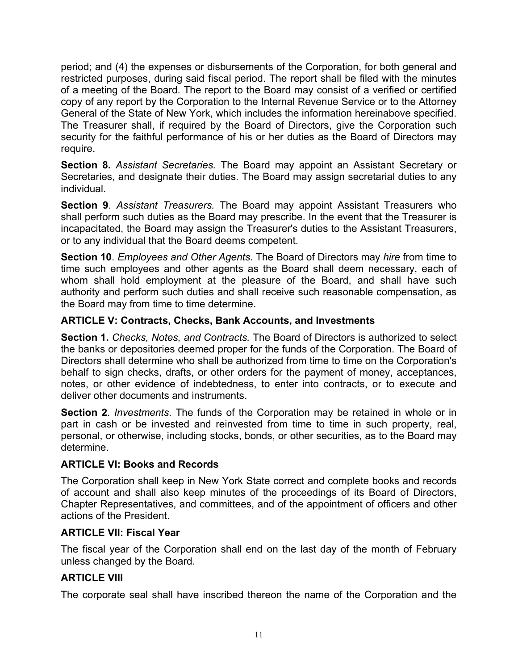period; and (4) the expenses or disbursements of the Corporation, for both general and restricted purposes, during said fiscal period. The report shall be filed with the minutes of a meeting of the Board. The report to the Board may consist of a verified or certified copy of any report by the Corporation to the Internal Revenue Service or to the Attorney General of the State of New York, which includes the information hereinabove specified. The Treasurer shall, if required by the Board of Directors, give the Corporation such security for the faithful performance of his or her duties as the Board of Directors may require.

**Section 8.** *Assistant Secretaries.* The Board may appoint an Assistant Secretary or Secretaries, and designate their duties. The Board may assign secretarial duties to any individual.

**Section 9**. *Assistant Treasurers.* The Board may appoint Assistant Treasurers who shall perform such duties as the Board may prescribe. In the event that the Treasurer is incapacitated, the Board may assign the Treasurer's duties to the Assistant Treasurers, or to any individual that the Board deems competent.

**Section 10**. *Employees and Other Agents.* The Board of Directors may *hire* from time to time such employees and other agents as the Board shall deem necessary, each of whom shall hold employment at the pleasure of the Board, and shall have such authority and perform such duties and shall receive such reasonable compensation, as the Board may from time to time determine.

# **ARTICLE V: Contracts, Checks, Bank Accounts, and Investments**

**Section 1.** *Checks, Notes, and Contracts.* The Board of Directors is authorized to select the banks or depositories deemed proper for the funds of the Corporation. The Board of Directors shall determine who shall be authorized from time to time on the Corporation's behalf to sign checks, drafts, or other orders for the payment of money, acceptances, notes, or other evidence of indebtedness, to enter into contracts, or to execute and deliver other documents and instruments.

**Section 2**. *Investments*. The funds of the Corporation may be retained in whole or in part in cash or be invested and reinvested from time to time in such property, real, personal, or otherwise, including stocks, bonds, or other securities, as to the Board may determine.

#### **ARTICLE VI: Books and Records**

The Corporation shall keep in New York State correct and complete books and records of account and shall also keep minutes of the proceedings of its Board of Directors, Chapter Representatives, and committees, and of the appointment of officers and other actions of the President.

#### **ARTICLE VII: Fiscal Year**

The fiscal year of the Corporation shall end on the last day of the month of February unless changed by the Board.

# **ARTICLE VIII**

The corporate seal shall have inscribed thereon the name of the Corporation and the